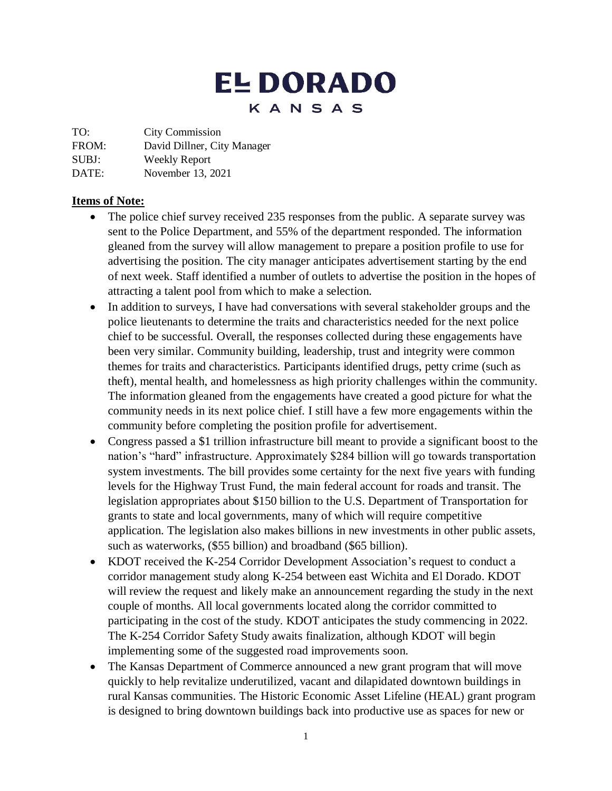# **EL DORADO** KANSAS

TO: City Commission

FROM: David Dillner, City Manager

SUBJ: Weekly Report

DATE: November 13, 2021

#### **Items of Note:**

- The police chief survey received 235 responses from the public. A separate survey was sent to the Police Department, and 55% of the department responded. The information gleaned from the survey will allow management to prepare a position profile to use for advertising the position. The city manager anticipates advertisement starting by the end of next week. Staff identified a number of outlets to advertise the position in the hopes of attracting a talent pool from which to make a selection.
- In addition to surveys, I have had conversations with several stakeholder groups and the police lieutenants to determine the traits and characteristics needed for the next police chief to be successful. Overall, the responses collected during these engagements have been very similar. Community building, leadership, trust and integrity were common themes for traits and characteristics. Participants identified drugs, petty crime (such as theft), mental health, and homelessness as high priority challenges within the community. The information gleaned from the engagements have created a good picture for what the community needs in its next police chief. I still have a few more engagements within the community before completing the position profile for advertisement.
- Congress passed a \$1 trillion infrastructure bill meant to provide a significant boost to the nation's "hard" infrastructure. Approximately \$284 billion will go towards transportation system investments. The bill provides some certainty for the next five years with funding levels for the Highway Trust Fund, the main federal account for roads and transit. The legislation appropriates about \$150 billion to the U.S. Department of Transportation for grants to state and local governments, many of which will require competitive application. The legislation also makes billions in new investments in other public assets, such as waterworks, (\$55 billion) and broadband (\$65 billion).
- KDOT received the K-254 Corridor Development Association's request to conduct a corridor management study along K-254 between east Wichita and El Dorado. KDOT will review the request and likely make an announcement regarding the study in the next couple of months. All local governments located along the corridor committed to participating in the cost of the study. KDOT anticipates the study commencing in 2022. The K-254 Corridor Safety Study awaits finalization, although KDOT will begin implementing some of the suggested road improvements soon.
- The Kansas Department of Commerce announced a new grant program that will move quickly to help revitalize underutilized, vacant and dilapidated downtown buildings in rural Kansas communities. The Historic Economic Asset Lifeline (HEAL) grant program is designed to bring downtown buildings back into productive use as spaces for new or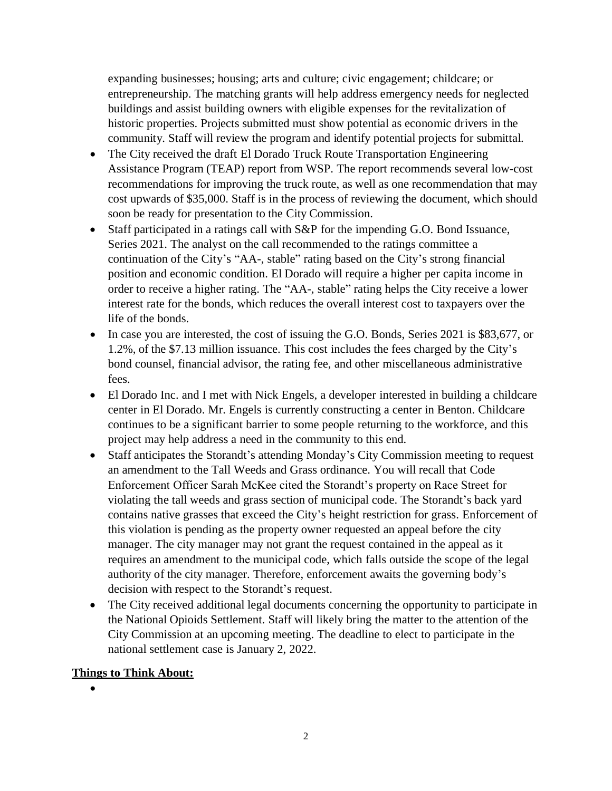expanding businesses; housing; arts and culture; civic engagement; childcare; or entrepreneurship. The matching grants will help address emergency needs for neglected buildings and assist building owners with eligible expenses for the revitalization of historic properties. Projects submitted must show potential as economic drivers in the community. Staff will review the program and identify potential projects for submittal.

- The City received the draft El Dorado Truck Route Transportation Engineering Assistance Program (TEAP) report from WSP. The report recommends several low-cost recommendations for improving the truck route, as well as one recommendation that may cost upwards of \$35,000. Staff is in the process of reviewing the document, which should soon be ready for presentation to the City Commission.
- Staff participated in a ratings call with S&P for the impending G.O. Bond Issuance, Series 2021. The analyst on the call recommended to the ratings committee a continuation of the City's "AA-, stable" rating based on the City's strong financial position and economic condition. El Dorado will require a higher per capita income in order to receive a higher rating. The "AA-, stable" rating helps the City receive a lower interest rate for the bonds, which reduces the overall interest cost to taxpayers over the life of the bonds.
- In case you are interested, the cost of issuing the G.O. Bonds, Series 2021 is \$83,677, or 1.2%, of the \$7.13 million issuance. This cost includes the fees charged by the City's bond counsel, financial advisor, the rating fee, and other miscellaneous administrative fees.
- El Dorado Inc. and I met with Nick Engels, a developer interested in building a childcare center in El Dorado. Mr. Engels is currently constructing a center in Benton. Childcare continues to be a significant barrier to some people returning to the workforce, and this project may help address a need in the community to this end.
- Staff anticipates the Storandt's attending Monday's City Commission meeting to request an amendment to the Tall Weeds and Grass ordinance. You will recall that Code Enforcement Officer Sarah McKee cited the Storandt's property on Race Street for violating the tall weeds and grass section of municipal code. The Storandt's back yard contains native grasses that exceed the City's height restriction for grass. Enforcement of this violation is pending as the property owner requested an appeal before the city manager. The city manager may not grant the request contained in the appeal as it requires an amendment to the municipal code, which falls outside the scope of the legal authority of the city manager. Therefore, enforcement awaits the governing body's decision with respect to the Storandt's request.
- The City received additional legal documents concerning the opportunity to participate in the National Opioids Settlement. Staff will likely bring the matter to the attention of the City Commission at an upcoming meeting. The deadline to elect to participate in the national settlement case is January 2, 2022.

#### **Things to Think About:**

 $\bullet$